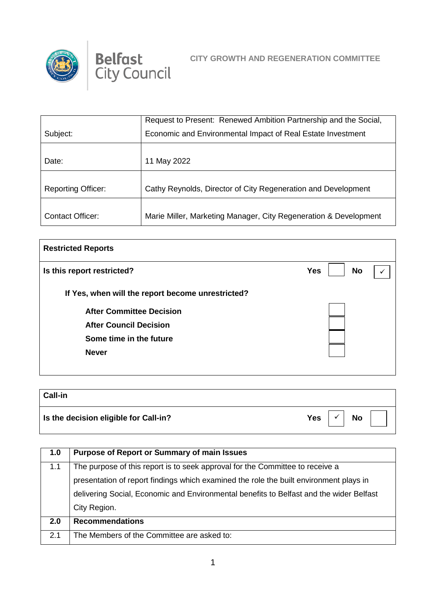



|                           | Request to Present: Renewed Ambition Partnership and the Social, |
|---------------------------|------------------------------------------------------------------|
| Subject:                  | Economic and Environmental Impact of Real Estate Investment      |
|                           |                                                                  |
| Date:                     | 11 May 2022                                                      |
|                           |                                                                  |
| <b>Reporting Officer:</b> | Cathy Reynolds, Director of City Regeneration and Development    |
|                           |                                                                  |
| <b>Contact Officer:</b>   | Marie Miller, Marketing Manager, City Regeneration & Development |

| <b>Restricted Reports</b>                         |                         |  |
|---------------------------------------------------|-------------------------|--|
| Is this report restricted?                        | <b>No</b><br><b>Yes</b> |  |
| If Yes, when will the report become unrestricted? |                         |  |
| <b>After Committee Decision</b>                   |                         |  |
| <b>After Council Decision</b>                     |                         |  |
| Some time in the future                           |                         |  |
| <b>Never</b>                                      |                         |  |
|                                                   |                         |  |

| <b>Call-in</b>                                |                       |
|-----------------------------------------------|-----------------------|
| $\vert$ Is the decision eligible for Call-in? | Yes<br><b>No</b><br>v |

| 1.0 | <b>Purpose of Report or Summary of main Issues</b>                                      |
|-----|-----------------------------------------------------------------------------------------|
| 1.1 | The purpose of this report is to seek approval for the Committee to receive a           |
|     | presentation of report findings which examined the role the built environment plays in  |
|     | delivering Social, Economic and Environmental benefits to Belfast and the wider Belfast |
|     | City Region.                                                                            |
| 2.0 | <b>Recommendations</b>                                                                  |
| 2.1 | The Members of the Committee are asked to:                                              |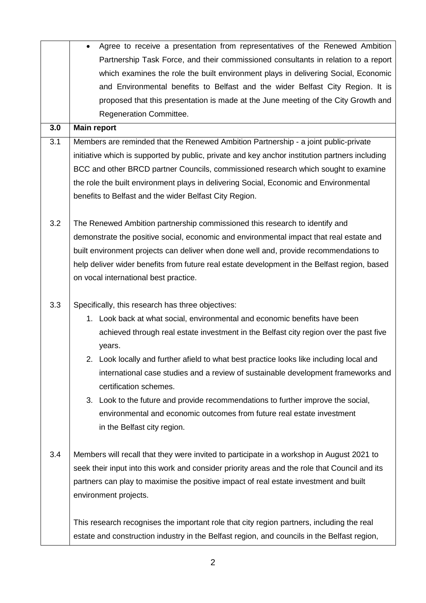|     | Agree to receive a presentation from representatives of the Renewed Ambition                                                                                                                                                                                                                                                                                                                                                                                                                             |
|-----|----------------------------------------------------------------------------------------------------------------------------------------------------------------------------------------------------------------------------------------------------------------------------------------------------------------------------------------------------------------------------------------------------------------------------------------------------------------------------------------------------------|
|     | Partnership Task Force, and their commissioned consultants in relation to a report                                                                                                                                                                                                                                                                                                                                                                                                                       |
|     | which examines the role the built environment plays in delivering Social, Economic                                                                                                                                                                                                                                                                                                                                                                                                                       |
|     | and Environmental benefits to Belfast and the wider Belfast City Region. It is                                                                                                                                                                                                                                                                                                                                                                                                                           |
|     | proposed that this presentation is made at the June meeting of the City Growth and                                                                                                                                                                                                                                                                                                                                                                                                                       |
|     | Regeneration Committee.                                                                                                                                                                                                                                                                                                                                                                                                                                                                                  |
| 3.0 | <b>Main report</b>                                                                                                                                                                                                                                                                                                                                                                                                                                                                                       |
| 3.1 | Members are reminded that the Renewed Ambition Partnership - a joint public-private                                                                                                                                                                                                                                                                                                                                                                                                                      |
|     | initiative which is supported by public, private and key anchor institution partners including                                                                                                                                                                                                                                                                                                                                                                                                           |
|     | BCC and other BRCD partner Councils, commissioned research which sought to examine                                                                                                                                                                                                                                                                                                                                                                                                                       |
|     | the role the built environment plays in delivering Social, Economic and Environmental                                                                                                                                                                                                                                                                                                                                                                                                                    |
|     | benefits to Belfast and the wider Belfast City Region.                                                                                                                                                                                                                                                                                                                                                                                                                                                   |
|     |                                                                                                                                                                                                                                                                                                                                                                                                                                                                                                          |
| 3.2 | The Renewed Ambition partnership commissioned this research to identify and                                                                                                                                                                                                                                                                                                                                                                                                                              |
|     | demonstrate the positive social, economic and environmental impact that real estate and                                                                                                                                                                                                                                                                                                                                                                                                                  |
|     | built environment projects can deliver when done well and, provide recommendations to                                                                                                                                                                                                                                                                                                                                                                                                                    |
|     | help deliver wider benefits from future real estate development in the Belfast region, based                                                                                                                                                                                                                                                                                                                                                                                                             |
|     | on vocal international best practice.                                                                                                                                                                                                                                                                                                                                                                                                                                                                    |
|     |                                                                                                                                                                                                                                                                                                                                                                                                                                                                                                          |
| 3.3 | Specifically, this research has three objectives:                                                                                                                                                                                                                                                                                                                                                                                                                                                        |
|     | 1. Look back at what social, environmental and economic benefits have been                                                                                                                                                                                                                                                                                                                                                                                                                               |
|     | achieved through real estate investment in the Belfast city region over the past five                                                                                                                                                                                                                                                                                                                                                                                                                    |
|     | years.                                                                                                                                                                                                                                                                                                                                                                                                                                                                                                   |
|     | 2. Look locally and further afield to what best practice looks like including local and                                                                                                                                                                                                                                                                                                                                                                                                                  |
|     | international case studies and a review of sustainable development frameworks and                                                                                                                                                                                                                                                                                                                                                                                                                        |
|     | certification schemes.                                                                                                                                                                                                                                                                                                                                                                                                                                                                                   |
|     | Look to the future and provide recommendations to further improve the social,<br>3.                                                                                                                                                                                                                                                                                                                                                                                                                      |
|     | environmental and economic outcomes from future real estate investment                                                                                                                                                                                                                                                                                                                                                                                                                                   |
|     | in the Belfast city region.                                                                                                                                                                                                                                                                                                                                                                                                                                                                              |
|     |                                                                                                                                                                                                                                                                                                                                                                                                                                                                                                          |
|     |                                                                                                                                                                                                                                                                                                                                                                                                                                                                                                          |
|     |                                                                                                                                                                                                                                                                                                                                                                                                                                                                                                          |
|     |                                                                                                                                                                                                                                                                                                                                                                                                                                                                                                          |
|     |                                                                                                                                                                                                                                                                                                                                                                                                                                                                                                          |
|     |                                                                                                                                                                                                                                                                                                                                                                                                                                                                                                          |
|     |                                                                                                                                                                                                                                                                                                                                                                                                                                                                                                          |
| 3.4 | Members will recall that they were invited to participate in a workshop in August 2021 to<br>seek their input into this work and consider priority areas and the role that Council and its<br>partners can play to maximise the positive impact of real estate investment and built<br>environment projects.<br>This research recognises the important role that city region partners, including the real<br>estate and construction industry in the Belfast region, and councils in the Belfast region, |